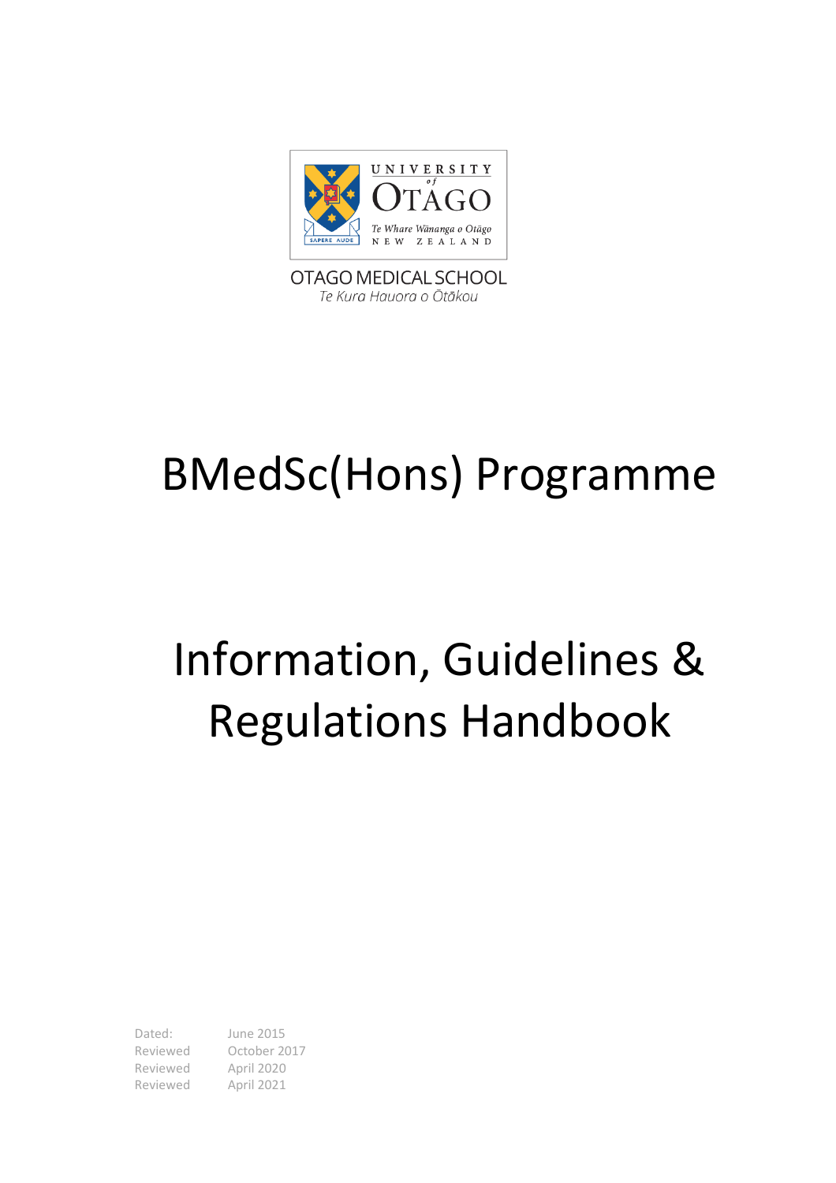

OTAGO MEDICAL SCHOOL Te Kura Hauora o Ōtākou

# BMedSc(Hons) Programme

# Information, Guidelines & Regulations Handbook

Dated: June 2015 Reviewed October 2017 Reviewed April 2020 Reviewed April 2021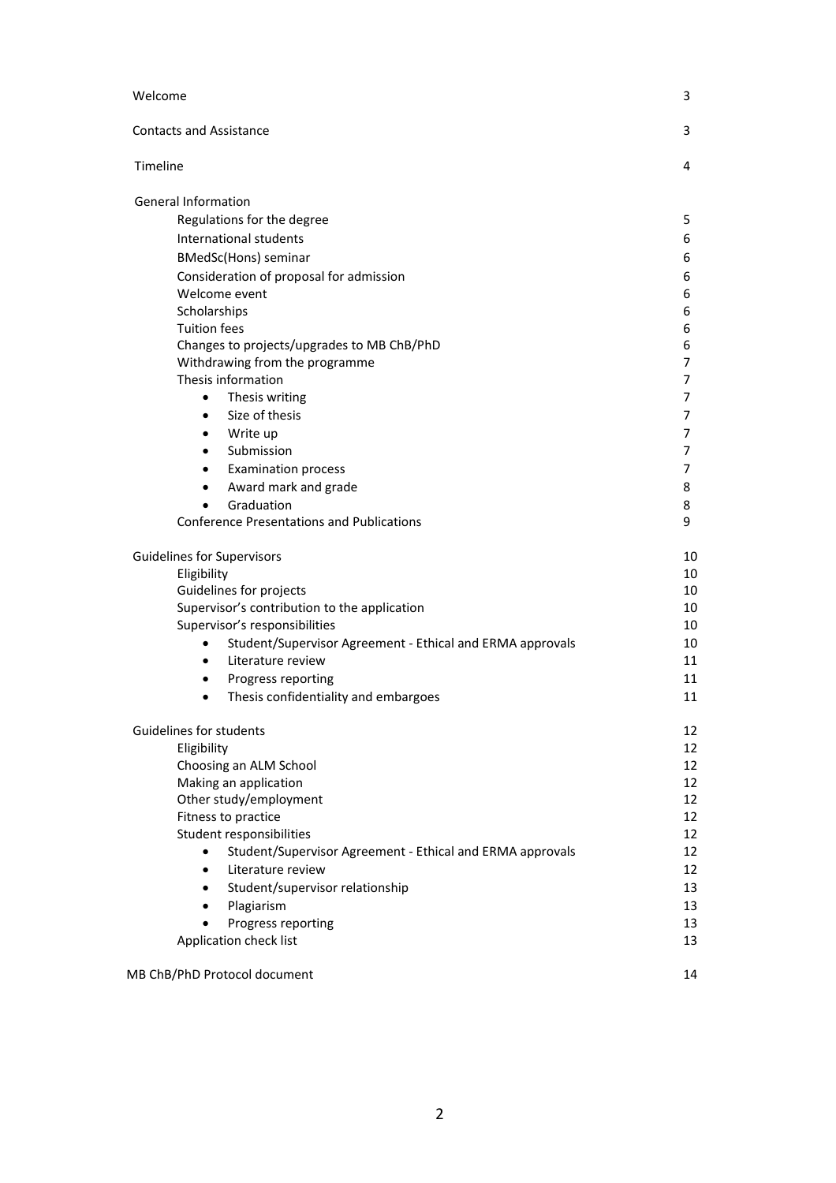| Welcome                                                                | 3  |
|------------------------------------------------------------------------|----|
| <b>Contacts and Assistance</b>                                         | 3  |
| Timeline                                                               | 4  |
| <b>General Information</b>                                             |    |
| Regulations for the degree                                             | 5  |
| International students                                                 | 6  |
| <b>BMedSc(Hons)</b> seminar                                            | 6  |
| Consideration of proposal for admission                                | 6  |
| Welcome event                                                          | 6  |
| Scholarships                                                           | 6  |
| <b>Tuition fees</b>                                                    | 6  |
| Changes to projects/upgrades to MB ChB/PhD                             | 6  |
| Withdrawing from the programme                                         | 7  |
| Thesis information                                                     | 7  |
| Thesis writing<br>$\bullet$                                            | 7  |
| Size of thesis<br>$\bullet$                                            | 7  |
| Write up<br>$\bullet$                                                  | 7  |
| Submission<br>$\bullet$                                                | 7  |
| <b>Examination process</b><br>$\bullet$                                | 7  |
| Award mark and grade<br>$\bullet$                                      | 8  |
| Graduation<br>$\bullet$                                                | 8  |
| <b>Conference Presentations and Publications</b>                       | 9  |
| <b>Guidelines for Supervisors</b>                                      | 10 |
| Eligibility                                                            | 10 |
| Guidelines for projects                                                | 10 |
| Supervisor's contribution to the application                           | 10 |
| Supervisor's responsibilities                                          | 10 |
| Student/Supervisor Agreement - Ethical and ERMA approvals<br>$\bullet$ | 10 |
| Literature review<br>$\bullet$                                         | 11 |
| Progress reporting<br>$\bullet$                                        | 11 |
| $\bullet$                                                              |    |
| Thesis confidentiality and embargoes                                   | 11 |
| Guidelines for students                                                | 12 |
| Eligibility                                                            | 12 |
| Choosing an ALM School                                                 | 12 |
| Making an application                                                  | 12 |
| Other study/employment                                                 | 12 |
| Fitness to practice                                                    | 12 |
| Student responsibilities                                               | 12 |
| Student/Supervisor Agreement - Ethical and ERMA approvals<br>$\bullet$ | 12 |
| Literature review<br>$\bullet$                                         | 12 |
| Student/supervisor relationship<br>$\bullet$                           | 13 |
| Plagiarism<br>$\bullet$                                                | 13 |
| Progress reporting<br>$\bullet$                                        | 13 |
| Application check list                                                 | 13 |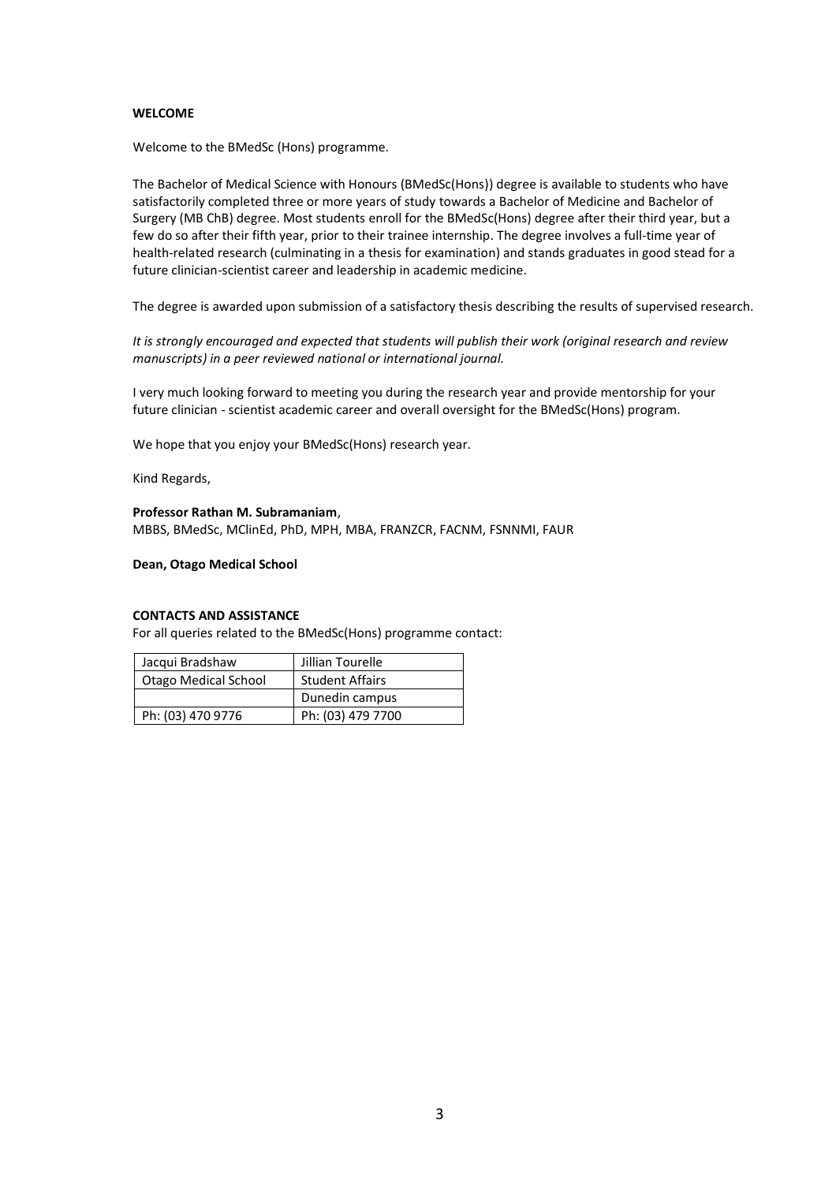#### **WELCOME**

Welcome to the BMedSc (Hons) programme.

The Bachelor of Medical Science with Honours (BMedSc(Hons)) degree is available to students who have satisfactorily completed three or more years of study towards a [Bachelor of Medicine and Bachelor of](http://www.otago.ac.nz/courses/qualifications/mbchb.html)  [Surgery](http://www.otago.ac.nz/courses/qualifications/mbchb.html) (MB ChB) degree. Most students enroll for the BMedSc(Hons) degree after their third year, but a few do so after their fifth year, prior to their trainee internship. The degree involves a full-time year of health-related research (culminating in a thesis for examination) and stands graduates in good stead for a future clinician-scientist career and leadership in academic medicine.

The degree is awarded upon submission of a satisfactory thesis describing the results of supervised research.

*It is strongly encouraged and expected that students will publish their work (original research and review manuscripts) in a peer reviewed national or international journal.*

I very much looking forward to meeting you during the research year and provide mentorship for your future clinician - scientist academic career and overall oversight for the BMedSc(Hons) program.

We hope that you enjoy your BMedSc(Hons) research year.

Kind Regards,

#### **Professor Rathan M. Subramaniam**,

MBBS, BMedSc, MClinEd, PhD, MPH, MBA, FRANZCR, FACNM, FSNNMI, FAUR

**Dean, Otago Medical School** 

#### **CONTACTS AND ASSISTANCE**

For all queries related to the BMedSc(Hons) programme contact:

| Jacqui Bradshaw             | Jillian Tourelle       |  |
|-----------------------------|------------------------|--|
| <b>Otago Medical School</b> | <b>Student Affairs</b> |  |
|                             | Dunedin campus         |  |
| Ph: (03) 470 9776           | Ph: (03) 479 7700      |  |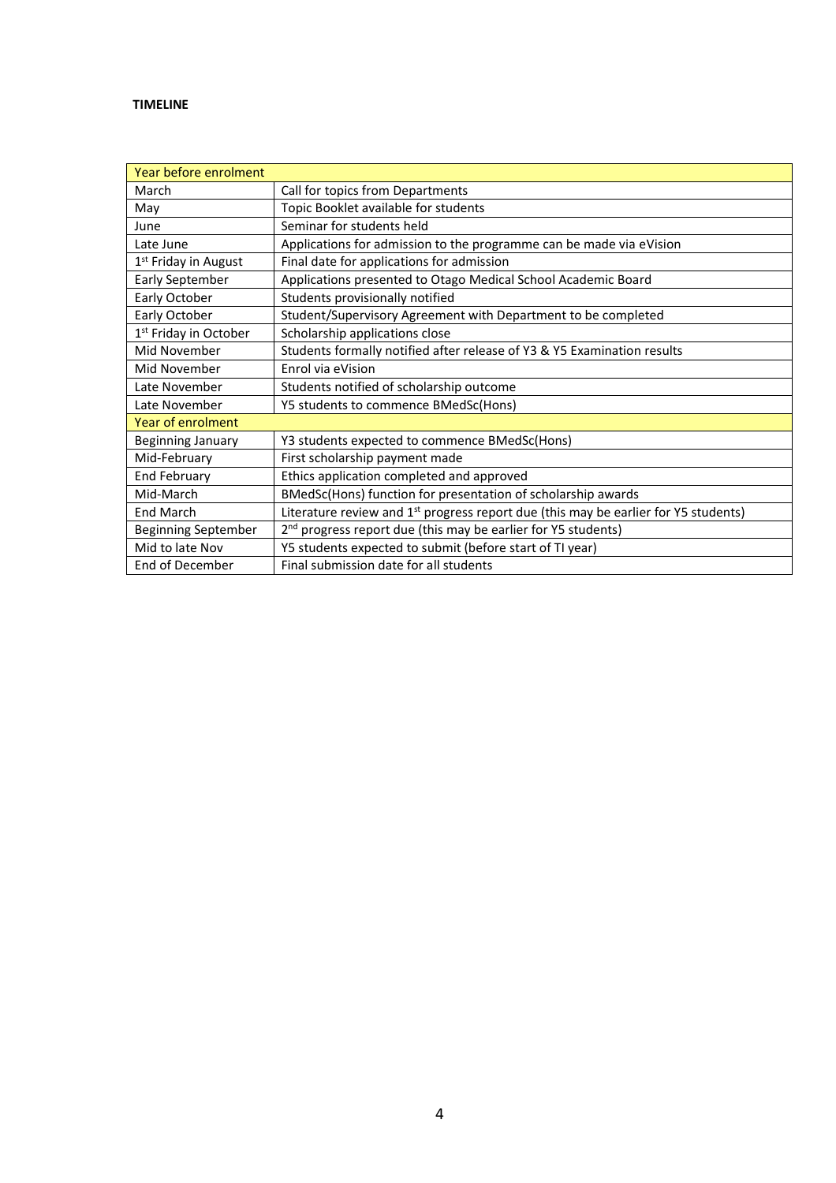## **TIMELINE**

| Year before enrolment             |                                                                                                 |
|-----------------------------------|-------------------------------------------------------------------------------------------------|
| March                             | Call for topics from Departments                                                                |
| May                               | Topic Booklet available for students                                                            |
| June                              | Seminar for students held                                                                       |
| Late June                         | Applications for admission to the programme can be made via eVision                             |
| 1 <sup>st</sup> Friday in August  | Final date for applications for admission                                                       |
| <b>Early September</b>            | Applications presented to Otago Medical School Academic Board                                   |
| Early October                     | Students provisionally notified                                                                 |
| Early October                     | Student/Supervisory Agreement with Department to be completed                                   |
| 1 <sup>st</sup> Friday in October | Scholarship applications close                                                                  |
| Mid November                      | Students formally notified after release of Y3 & Y5 Examination results                         |
| Mid November                      | Enrol via eVision                                                                               |
| Late November                     | Students notified of scholarship outcome                                                        |
| Late November                     | Y5 students to commence BMedSc(Hons)                                                            |
| <b>Year of enrolment</b>          |                                                                                                 |
| <b>Beginning January</b>          | Y3 students expected to commence BMedSc(Hons)                                                   |
| Mid-February                      | First scholarship payment made                                                                  |
| <b>End February</b>               | Ethics application completed and approved                                                       |
| Mid-March                         | BMedSc(Hons) function for presentation of scholarship awards                                    |
| <b>End March</b>                  | Literature review and 1 <sup>st</sup> progress report due (this may be earlier for Y5 students) |
| <b>Beginning September</b>        | 2 <sup>nd</sup> progress report due (this may be earlier for Y5 students)                       |
| Mid to late Nov                   | Y5 students expected to submit (before start of TI year)                                        |
| End of December                   | Final submission date for all students                                                          |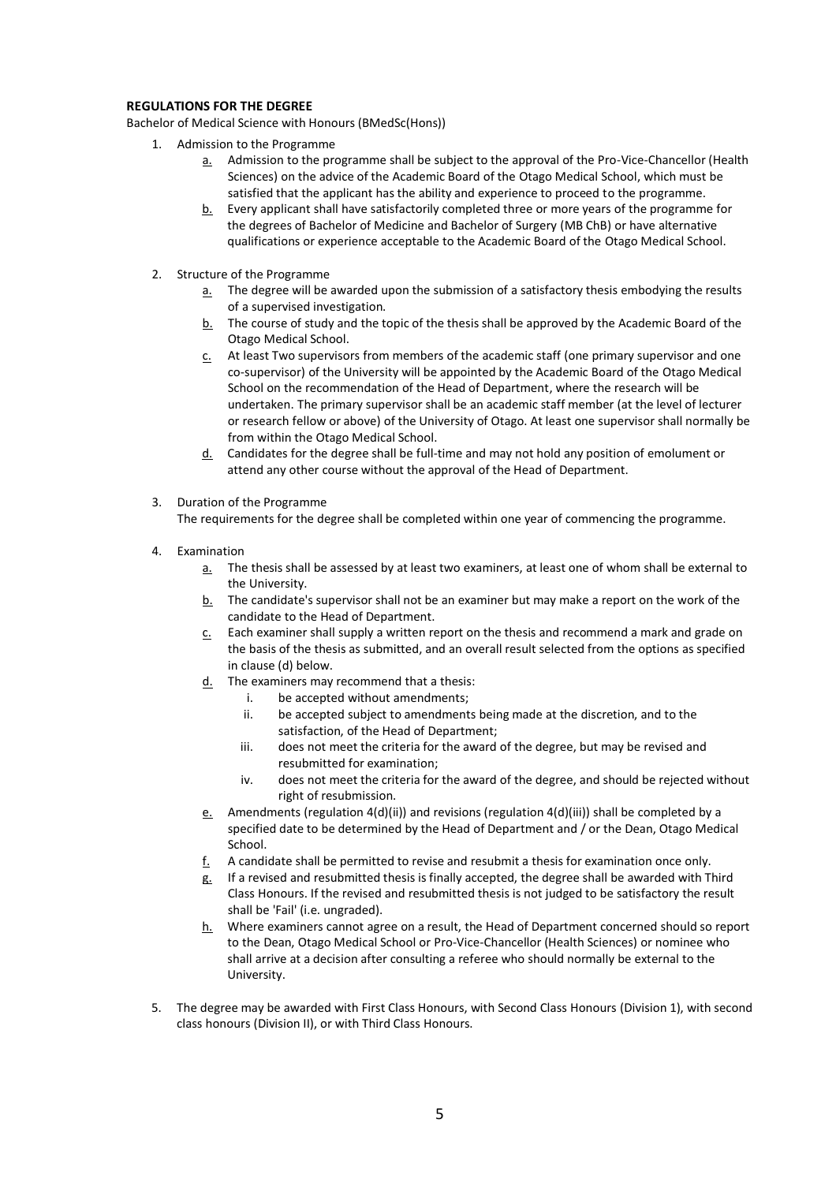### **REGULATIONS FOR THE DEGREE**

Bachelor of Medical Science with Honours (BMedSc(Hons))

- 1. Admission to the Programme
	- a. Admission to the programme shall be subject to the approval of the Pro-Vice-Chancellor (Health Sciences) on the advice of the Academic Board of the Otago Medical School, which must be satisfied that the applicant has the ability and experience to proceed to the programme.
	- b. Every applicant shall have satisfactorily completed three or more years of the programme for the degrees o[f Bachelor of Medicine and Bachelor of Surgery](http://www.otago.ac.nz/courses/qualifications/mbchb.html) (MB ChB) or have alternative qualifications or experience acceptable to the Academic Board of the Otago Medical School.
- 2. Structure of the Programme
	- a. The degree will be awarded upon the submission of a satisfactory thesis embodying the results of a supervised investigation.
	- $b.$  The course of study and the topic of the thesis shall be approved by the Academic Board of the Otago Medical School.
	- c. At least Two supervisors from members of the academic staff (one primary supervisor and one co-supervisor) of the University will be appointed by the Academic Board of the Otago Medical School on the recommendation of the Head of Department, where the research will be undertaken. The primary supervisor shall be an academic staff member (at the level of lecturer or research fellow or above) of the University of Otago. At least one supervisor shall normally be from within the Otago Medical School.
	- d. Candidates for the degree shall be full-time and may not hold any position of emolument or attend any other course without the approval of the Head of Department.
- 3. Duration of the Programme

The requirements for the degree shall be completed within one year of commencing the programme.

- 4. Examination
	- a. The thesis shall be assessed by at least two examiners, at least one of whom shall be external to the University.
	- $b.$  The candidate's supervisor shall not be an examiner but may make a report on the work of the candidate to the Head of Department.
	- $c_n$  Each examiner shall supply a written report on the thesis and recommend a mark and grade on the basis of the thesis as submitted, and an overall result selected from the options as specified in clause (d) below.
	- $d.$  The examiners may recommend that a thesis:
		- i. be accepted without amendments;
		- ii. be accepted subject to amendments being made at the discretion, and to the satisfaction, of the Head of Department;
		- iii. does not meet the criteria for the award of the degree, but may be revised and resubmitted for examination;
		- iv. does not meet the criteria for the award of the degree, and should be rejected without right of resubmission.
	- e. Amendments (regulation 4(d)(ii)) and revisions (regulation 4(d)(iii)) shall be completed by a specified date to be determined by the Head of Department and / or the Dean, Otago Medical School.
	- $f<sub>1</sub>$  A candidate shall be permitted to revise and resubmit a thesis for examination once only.
	- g. If a revised and resubmitted thesis is finally accepted, the degree shall be awarded with Third Class Honours. If the revised and resubmitted thesis is not judged to be satisfactory the result shall be 'Fail' (i.e. ungraded).
	- h. Where examiners cannot agree on a result, the Head of Department concerned should so report to the Dean, Otago Medical School or Pro-Vice-Chancellor (Health Sciences) or nominee who shall arrive at a decision after consulting a referee who should normally be external to the University.
- 5. The degree may be awarded with First Class Honours, with Second Class Honours (Division 1), with second class honours (Division II), or with Third Class Honours.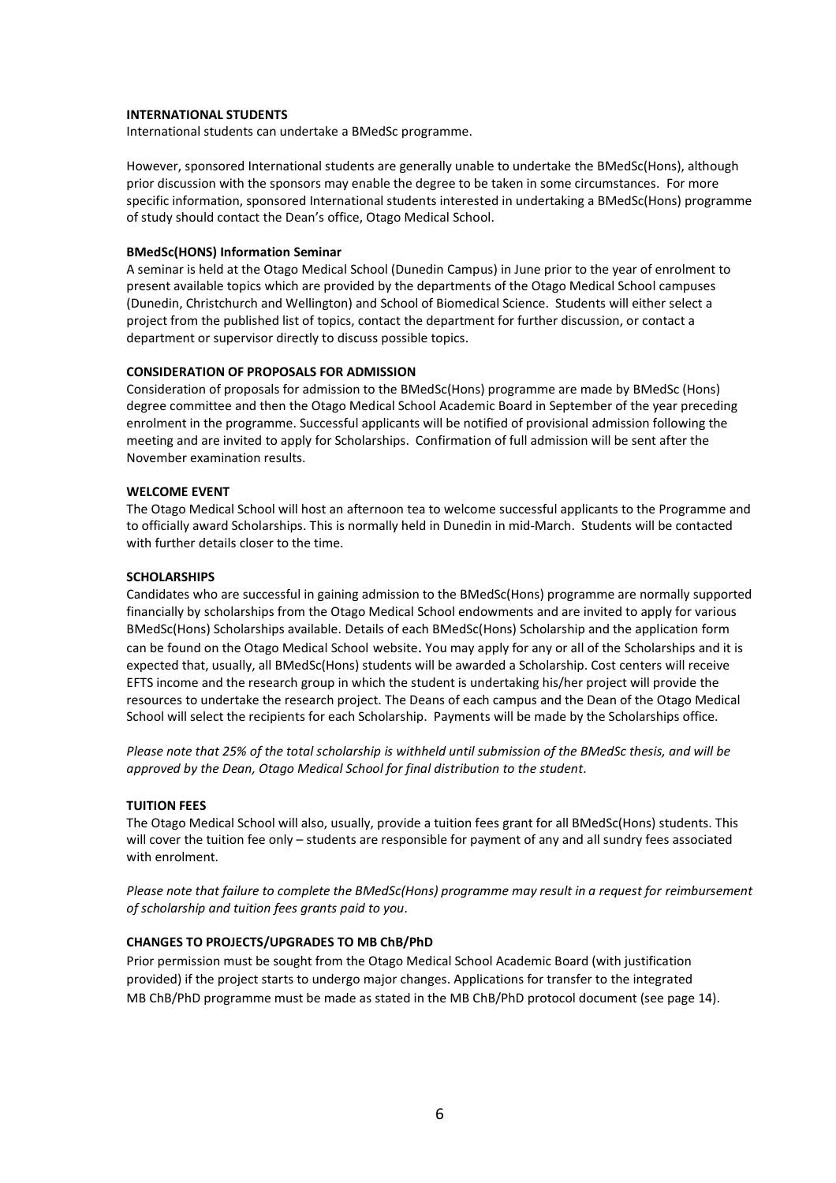#### **INTERNATIONAL STUDENTS**

International students can undertake a BMedSc programme.

However, sponsored International students are generally unable to undertake the BMedSc(Hons), although prior discussion with the sponsors may enable the degree to be taken in some circumstances. For more specific information, sponsored International students interested in undertaking a BMedSc(Hons) programme of study should contact the Dean's office, Otago Medical School.

#### **BMedSc(HONS) Information Seminar**

A seminar is held at the Otago Medical School (Dunedin Campus) in June prior to the year of enrolment to present available topics which are provided by the departments of the Otago Medical School campuses (Dunedin, Christchurch and Wellington) and School of Biomedical Science. Students will either select a project from the published list of topics, contact the department for further discussion, or contact a department or supervisor directly to discuss possible topics.

#### **CONSIDERATION OF PROPOSALS FOR ADMISSION**

Consideration of proposals for admission to the BMedSc(Hons) programme are made by BMedSc (Hons) degree committee and then the Otago Medical School Academic Board in September of the year preceding enrolment in the programme. Successful applicants will be notified of provisional admission following the meeting and are invited to apply for Scholarships. Confirmation of full admission will be sent after the November examination results.

#### **WELCOME EVENT**

The Otago Medical School will host an afternoon tea to welcome successful applicants to the Programme and to officially award Scholarships. This is normally held in Dunedin in mid-March. Students will be contacted with further details closer to the time.

#### **SCHOLARSHIPS**

Candidates who are successful in gaining admission to the BMedSc(Hons) programme are normally supported financially by scholarships from the Otago Medical School endowments and are invited to apply for various BMedSc(Hons) Scholarships available. Details of each BMedSc(Hons) Scholarship and the application form can be found on the Otago Medical School website. You may apply for any or all of the Scholarships and it is expected that, usually, all BMedSc(Hons) students will be awarded a Scholarship. Cost centers will receive EFTS income and the research group in which the student is undertaking his/her project will provide the resources to undertake the research project. The Deans of each campus and the Dean of the Otago Medical School will select the recipients for each Scholarship. Payments will be made by the Scholarships office.

*Please note that 25% of the total scholarship is withheld until submission of the BMedSc thesis, and will be approved by the Dean, Otago Medical School for final distribution to the student.* 

#### **TUITION FEES**

The Otago Medical School will also, usually, provide a tuition fees grant for all BMedSc(Hons) students. This will cover the tuition fee only – students are responsible for payment of any and all sundry fees associated with enrolment.

*Please note that failure to complete the BMedSc(Hons) programme may result in a request for reimbursement of scholarship and tuition fees grants paid to you.*

#### **CHANGES TO PROJECTS/UPGRADES TO MB ChB/PhD**

Prior permission must be sought from the Otago Medical School Academic Board (with justification provided) if the project starts to undergo major changes. Applications for transfer to the integrated MB ChB/PhD programme must be made as stated in the MB ChB/PhD protocol document (see page 14).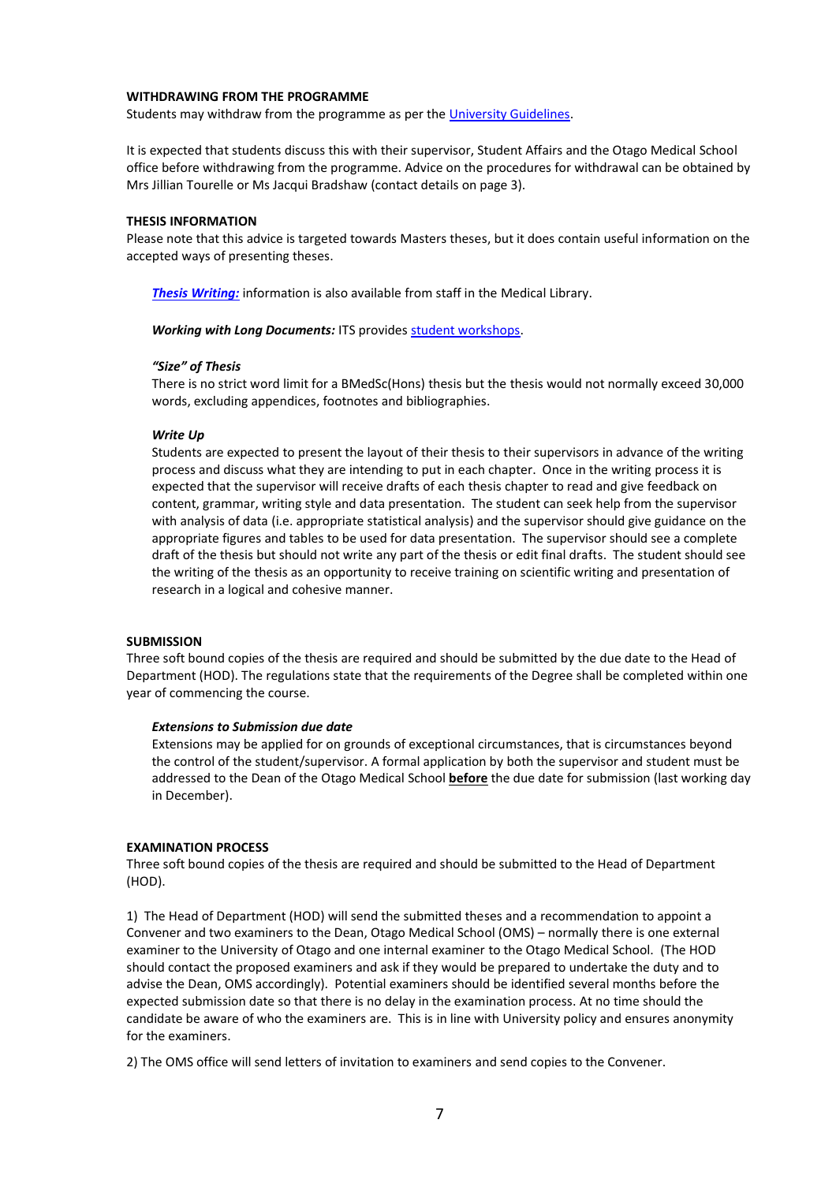#### **WITHDRAWING FROM THE PROGRAMME**

Students may withdraw from the programme as per th[e University Guidelines.](http://www.otago.ac.nz/study/enrolment/otago070876.html)

It is expected that students discuss this with their supervisor, Student Affairs and the Otago Medical School office before withdrawing from the programme. Advice on the procedures for withdrawal can be obtained by Mrs Jillian Tourelle or Ms Jacqui Bradshaw (contact details on page 3).

#### **THESIS INFORMATION**

Please note that this advice is targeted towards Masters theses, but it does contain useful information on the accepted ways of presenting theses.

*[Thesis Writing:](http://otago.libguides.com/thesisinformation?_ga=2.205720663.592940869.1507491022-1022844342.1401923435)* information is also available from staff in the Medical Library.

**Working with Long Documents: ITS provides [student workshops.](https://corpapp.otago.ac.nz/training/its/course/subject/all-subsidised-student/)** 

#### *"Size" of Thesis*

There is no strict word limit for a BMedSc(Hons) thesis but the thesis would not normally exceed 30,000 words, excluding appendices, footnotes and bibliographies.

#### *Write Up*

Students are expected to present the layout of their thesis to their supervisors in advance of the writing process and discuss what they are intending to put in each chapter. Once in the writing process it is expected that the supervisor will receive drafts of each thesis chapter to read and give feedback on content, grammar, writing style and data presentation. The student can seek help from the supervisor with analysis of data (i.e. appropriate statistical analysis) and the supervisor should give guidance on the appropriate figures and tables to be used for data presentation. The supervisor should see a complete draft of the thesis but should not write any part of the thesis or edit final drafts. The student should see the writing of the thesis as an opportunity to receive training on scientific writing and presentation of research in a logical and cohesive manner.

#### **SUBMISSION**

Three soft bound copies of the thesis are required and should be submitted by the due date to the Head of Department (HOD). The regulations state that the requirements of the Degree shall be completed within one year of commencing the course.

#### *Extensions to Submission due date*

Extensions may be applied for on grounds of exceptional circumstances, that is circumstances beyond the control of the student/supervisor. A formal application by both the supervisor and student must be addressed to the Dean of the Otago Medical School **before** the due date for submission (last working day in December).

#### **EXAMINATION PROCESS**

Three soft bound copies of the thesis are required and should be submitted to the Head of Department (HOD).

1) The Head of Department (HOD) will send the submitted theses and a recommendation to appoint a Convener and two examiners to the Dean, Otago Medical School (OMS) – normally there is one external examiner to the University of Otago and one internal examiner to the Otago Medical School. (The HOD should contact the proposed examiners and ask if they would be prepared to undertake the duty and to advise the Dean, OMS accordingly). Potential examiners should be identified several months before the expected submission date so that there is no delay in the examination process. At no time should the candidate be aware of who the examiners are. This is in line with University policy and ensures anonymity for the examiners.

2) The OMS office will send letters of invitation to examiners and send copies to the Convener.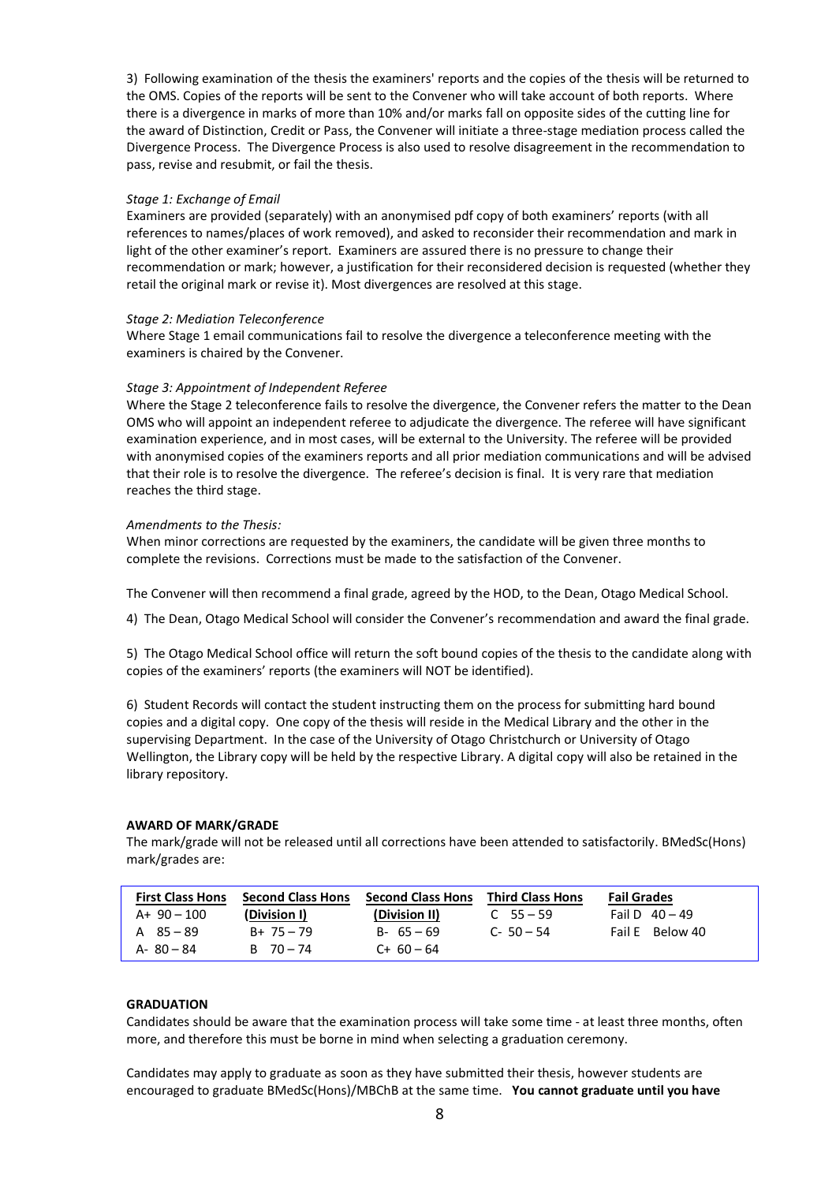3) Following examination of the thesis the examiners' reports and the copies of the thesis will be returned to the OMS. Copies of the reports will be sent to the Convener who will take account of both reports. Where there is a divergence in marks of more than 10% and/or marks fall on opposite sides of the cutting line for the award of Distinction, Credit or Pass, the Convener will initiate a three-stage mediation process called the Divergence Process. The Divergence Process is also used to resolve disagreement in the recommendation to pass, revise and resubmit, or fail the thesis.

#### *Stage 1: Exchange of Email*

Examiners are provided (separately) with an anonymised pdf copy of both examiners' reports (with all references to names/places of work removed), and asked to reconsider their recommendation and mark in light of the other examiner's report. Examiners are assured there is no pressure to change their recommendation or mark; however, a justification for their reconsidered decision is requested (whether they retail the original mark or revise it). Most divergences are resolved at this stage.

#### *Stage 2: Mediation Teleconference*

Where Stage 1 email communications fail to resolve the divergence a teleconference meeting with the examiners is chaired by the Convener.

#### *Stage 3: Appointment of Independent Referee*

Where the Stage 2 teleconference fails to resolve the divergence, the Convener refers the matter to the Dean OMS who will appoint an independent referee to adjudicate the divergence. The referee will have significant examination experience, and in most cases, will be external to the University. The referee will be provided with anonymised copies of the examiners reports and all prior mediation communications and will be advised that their role is to resolve the divergence. The referee's decision is final. It is very rare that mediation reaches the third stage.

#### *Amendments to the Thesis:*

When minor corrections are requested by the examiners, the candidate will be given three months to complete the revisions. Corrections must be made to the satisfaction of the Convener.

The Convener will then recommend a final grade, agreed by the HOD, to the Dean, Otago Medical School.

4) The Dean, Otago Medical School will consider the Convener's recommendation and award the final grade.

5) The Otago Medical School office will return the soft bound copies of the thesis to the candidate along with copies of the examiners' reports (the examiners will NOT be identified).

6) Student Records will contact the student instructing them on the process for submitting hard bound copies and a digital copy. One copy of the thesis will reside in the Medical Library and the other in the supervising Department. In the case of the University of Otago Christchurch or University of Otago Wellington, the Library copy will be held by the respective Library. A digital copy will also be retained in the library repository.

#### **AWARD OF MARK/GRADE**

The mark/grade will not be released until all corrections have been attended to satisfactorily. BMedSc(Hons) mark/grades are:

| <b>First Class Hons</b> | <b>Second Class Hons</b> | <b>Second Class Hons</b> | <b>Third Class Hons</b> | <b>Fail Grades</b> |
|-------------------------|--------------------------|--------------------------|-------------------------|--------------------|
| $A+90-100$              | (Division I)             | (Division II)            | $C$ 55 – 59             | Fail D $40 - 49$   |
| A 85-89                 | $B+75-79$                | $B - 65 - 69$            | $C - 50 - 54$           | Fail E Below 40    |
| $A - 80 - 84$           | $B = 70 - 74$            | $C+60-64$                |                         |                    |

#### **GRADUATION**

Candidates should be aware that the examination process will take some time - at least three months, often more, and therefore this must be borne in mind when selecting a graduation ceremony.

Candidates may apply to graduate as soon as they have submitted their thesis, however students are encouraged to graduate BMedSc(Hons)/MBChB at the same time. **You cannot graduate until you have**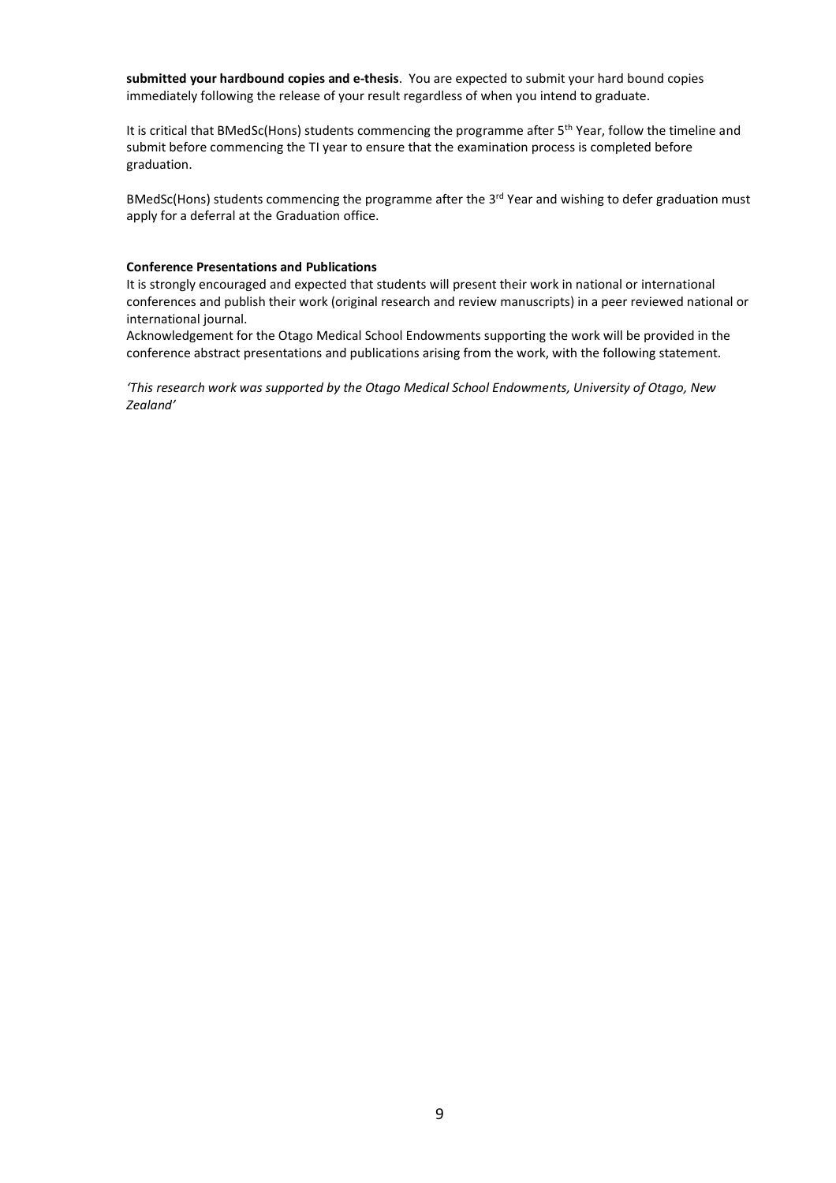**submitted your hardbound copies and e-thesis**. You are expected to submit your hard bound copies immediately following the release of your result regardless of when you intend to graduate.

It is critical that BMedSc(Hons) students commencing the programme after 5<sup>th</sup> Year, follow the timeline and submit before commencing the TI year to ensure that the examination process is completed before graduation.

BMedSc(Hons) students commencing the programme after the  $3<sup>rd</sup>$  Year and wishing to defer graduation must apply for a deferral at the Graduation office.

#### **Conference Presentations and Publications**

It is strongly encouraged and expected that students will present their work in national or international conferences and publish their work (original research and review manuscripts) in a peer reviewed national or international journal.

Acknowledgement for the Otago Medical School Endowments supporting the work will be provided in the conference abstract presentations and publications arising from the work, with the following statement.

*'This research work was supported by the Otago Medical School Endowments, University of Otago, New Zealand'*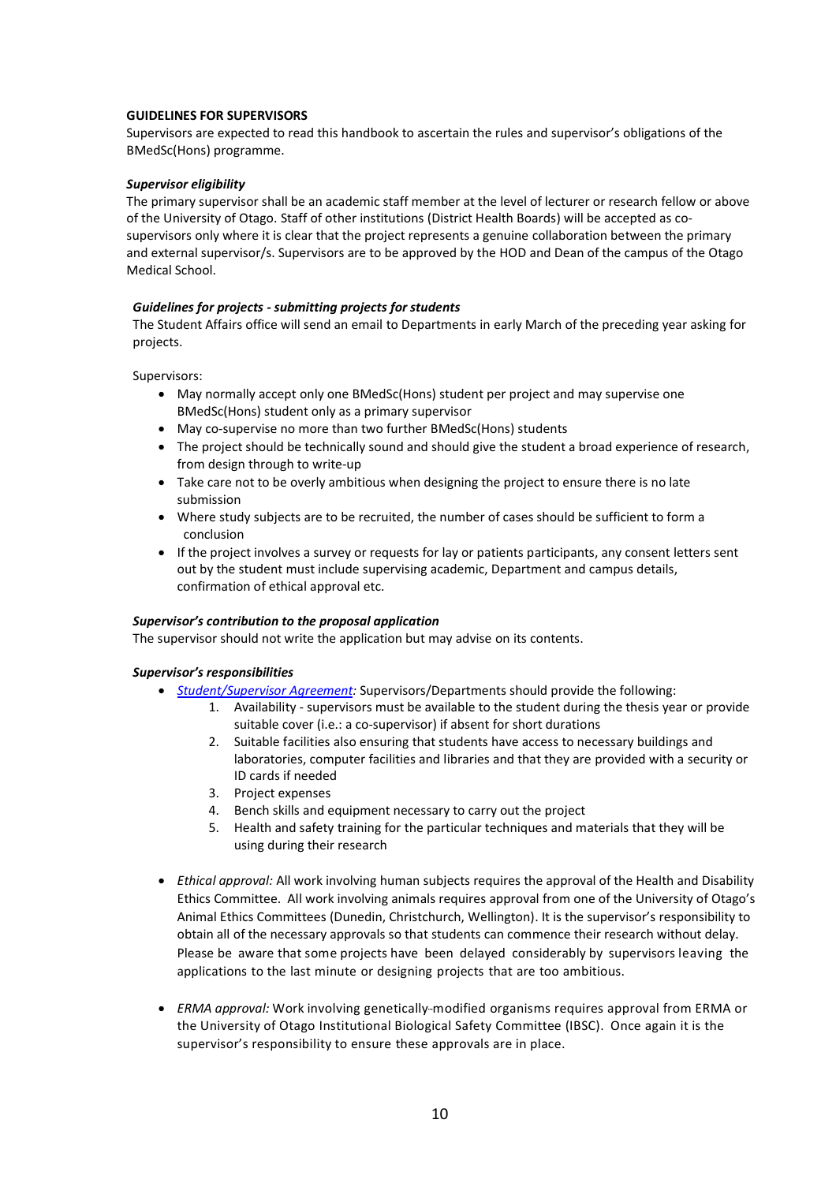#### **GUIDELINES FOR SUPERVISORS**

Supervisors are expected to read this handbook to ascertain the rules and supervisor's obligations of the BMedSc(Hons) programme.

#### *Supervisor eligibility*

The primary supervisor shall be an academic staff member at the level of lecturer or research fellow or above of the University of Otago. Staff of other institutions (District Health Boards) will be accepted as cosupervisors only where it is clear that the project represents a genuine collaboration between the primary and external supervisor/s. Supervisors are to be approved by the HOD and Dean of the campus of the Otago Medical School.

#### *Guidelines for projects - submitting projects for students*

The Student Affairs office will send an email to Departments in early March of the preceding year asking for projects.

Supervisors:

- May normally accept only one BMedSc(Hons) student per project and may supervise one BMedSc(Hons) student only as a primary supervisor
- May co-supervise no more than two further BMedSc(Hons) students
- The project should be technically sound and should give the student a broad experience of research, from design through to write-up
- Take care not to be overly ambitious when designing the project to ensure there is no late submission
- Where study subjects are to be recruited, the number of cases should be sufficient to form a conclusion
- If the project involves a survey or requests for lay or patients participants, any consent letters sent out by the student must include supervising academic, Department and campus details, confirmation of ethical approval etc.

#### *Supervisor's contribution to the proposal application*

The supervisor should not write the application but may advise on its contents.

#### *Supervisor's responsibilities*

- *[Student/Supervisor Agreement:](http://www.otago.ac.nz/graduate-research/policies/otago252208.pdf)* Supervisors/Departments should provide the following:
	- 1. Availability *-* supervisors must be available to the student during the thesis year or provide suitable cover (i.e.: a co-supervisor) if absent for short durations
	- 2. Suitable facilities also ensuring that students have access to necessary buildings and laboratories, computer facilities and libraries and that they are provided with a security or ID cards if needed
	- 3. Project expenses
	- 4. Bench skills and equipment necessary to carry out the project
	- 5. Health and safety training for the particular techniques and materials that they will be using during their research
- *Ethical approval:* All work involving human subjects requires the approval of the Health and Disability Ethics Committee. All work involving animals requires approval from one of the University of Otago's Animal Ethics Committees (Dunedin, Christchurch, Wellington). It is the supervisor's responsibility to obtain all of the necessary approvals so that students can commence their research without delay. Please be aware that some projects have been delayed considerably by supervisors leaving the applications to the last minute or designing projects that are too ambitious.
- *ERMA approval:* Work involving genetically-modified organisms requires approval from ERMA or the University of Otago Institutional Biological Safety Committee (IBSC). Once again it is the supervisor's responsibility to ensure these approvals are in place.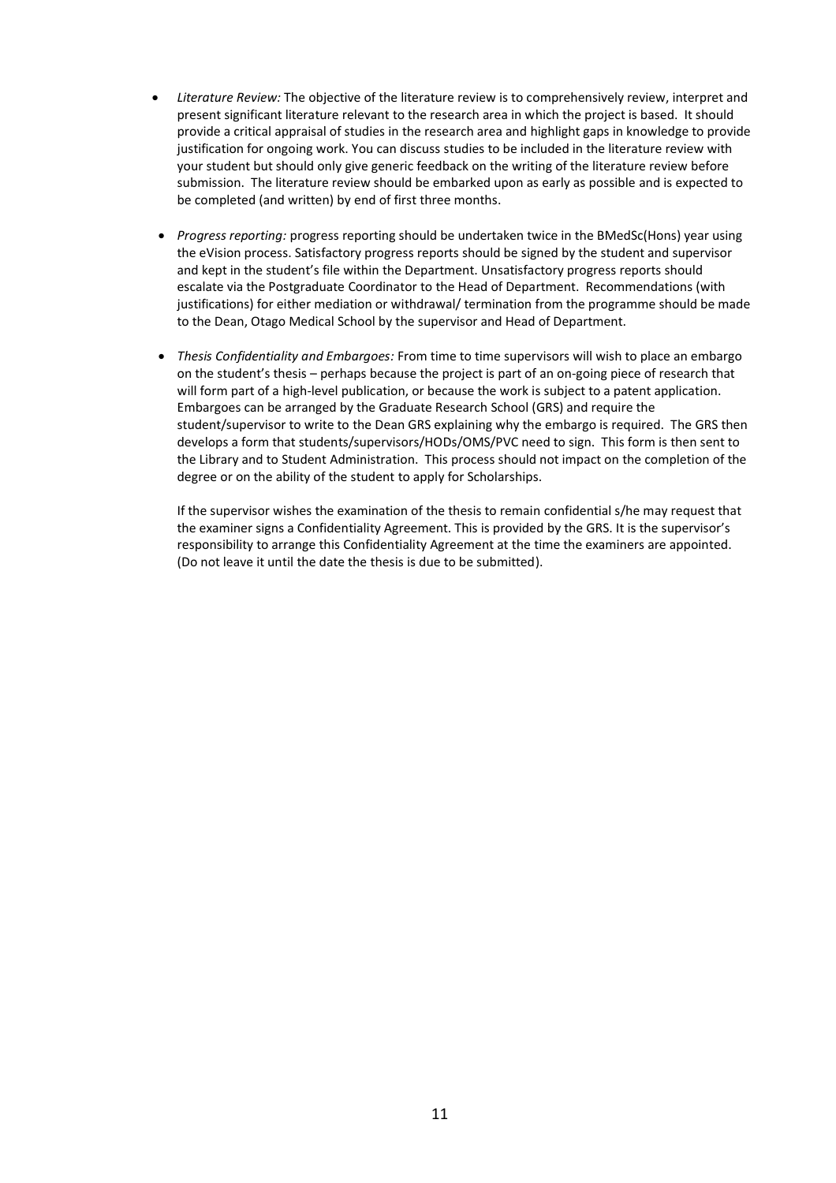- *Literature Review:* The objective of the literature review is to comprehensively review, interpret and present significant literature relevant to the research area in which the project is based. It should provide a critical appraisal of studies in the research area and highlight gaps in knowledge to provide justification for ongoing work. You can discuss studies to be included in the literature review with your student but should only give generic feedback on the writing of the literature review before submission. The literature review should be embarked upon as early as possible and is expected to be completed (and written) by end of first three months.
- *Progress reporting:* progress reporting should be undertaken twice in the BMedSc(Hons) year using the eVision process. Satisfactory progress reports should be signed by the student and supervisor and kept in the student's file within the Department. Unsatisfactory progress reports should escalate via the Postgraduate Coordinator to the Head of Department. Recommendations (with justifications) for either mediation or withdrawal/ termination from the programme should be made to the Dean, Otago Medical School by the supervisor and Head of Department.
- *Thesis Confidentiality and Embargoes:* From time to time supervisors will wish to place an embargo on the student's thesis – perhaps because the project is part of an on-going piece of research that will form part of a high-level publication, or because the work is subject to a patent application. Embargoes can be arranged by the Graduate Research School (GRS) and require the student/supervisor to write to the Dean GRS explaining why the embargo is required. The GRS then develops a form that students/supervisors/HODs/OMS/PVC need to sign. This form is then sent to the Library and to Student Administration. This process should not impact on the completion of the degree or on the ability of the student to apply for Scholarships.

If the supervisor wishes the examination of the thesis to remain confidential s/he may request that the examiner signs a Confidentiality Agreement. This is provided by the GRS. It is the supervisor's responsibility to arrange this Confidentiality Agreement at the time the examiners are appointed. (Do not leave it until the date the thesis is due to be submitted).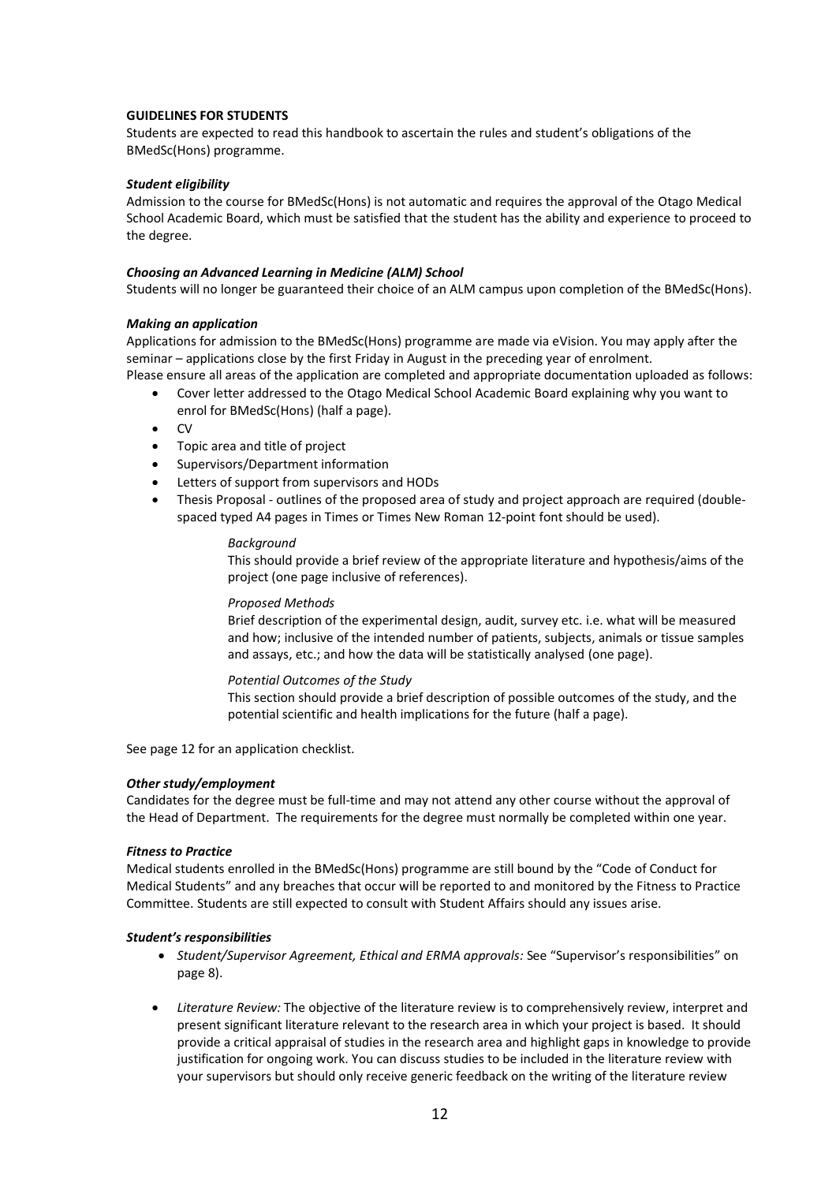#### **GUIDELINES FOR STUDENTS**

Students are expected to read this handbook to ascertain the rules and student's obligations of the BMedSc(Hons) programme.

#### *Student eligibility*

Admission to the course for BMedSc(Hons) is not automatic and requires the approval of the Otago Medical School Academic Board, which must be satisfied that the student has the ability and experience to proceed to the degree.

#### *Choosing an Advanced Learning in Medicine (ALM) School*

Students will no longer be guaranteed their choice of an ALM campus upon completion of the BMedSc(Hons).

#### *Making an application*

Applications for admission to the BMedSc(Hons) programme are made via eVision. You may apply after the seminar – applications close by the first Friday in August in the preceding year of enrolment.

- Please ensure all areas of the application are completed and appropriate documentation uploaded as follows: • Cover letter addressed to the Otago Medical School Academic Board explaining why you want to
	- enrol for BMedSc(Hons) (half a page).
	- CV
	- Topic area and title of project
	- Supervisors/Department information
	- Letters of support from supervisors and HODs
	- Thesis Proposal outlines of the proposed area of study and project approach are required (doublespaced typed A4 pages in Times or Times New Roman 12-point font should be used).

#### *Background*

This should provide a brief review of the appropriate literature and hypothesis/aims of the project (one page inclusive of references).

#### *Proposed Methods*

Brief description of the experimental design, audit, survey etc. i.e. what will be measured and how; inclusive of the intended number of patients, subjects, animals or tissue samples and assays, etc.; and how the data will be statistically analysed (one page).

#### *Potential Outcomes of the Study*

This section should provide a brief description of possible outcomes of the study, and the potential scientific and health implications for the future (half a page).

See page 12 for an application checklist.

#### *Other study/employment*

Candidates for the degree must be full-time and may not attend any other course without the approval of the Head of Department. The requirements for the degree must normally be completed within one year.

#### *Fitness to Practice*

Medical students enrolled in the BMedSc(Hons) programme are still bound by the "Code of Conduct for Medical Students" and any breaches that occur will be reported to and monitored by the Fitness to Practice Committee. Students are still expected to consult with Student Affairs should any issues arise.

#### *Student's responsibilities*

- *Student/Supervisor Agreement, Ethical and ERMA approvals:* See "Supervisor's responsibilities" on page 8).
- *Literature Review:* The objective of the literature review is to comprehensively review, interpret and present significant literature relevant to the research area in which your project is based. It should provide a critical appraisal of studies in the research area and highlight gaps in knowledge to provide justification for ongoing work. You can discuss studies to be included in the literature review with your supervisors but should only receive generic feedback on the writing of the literature review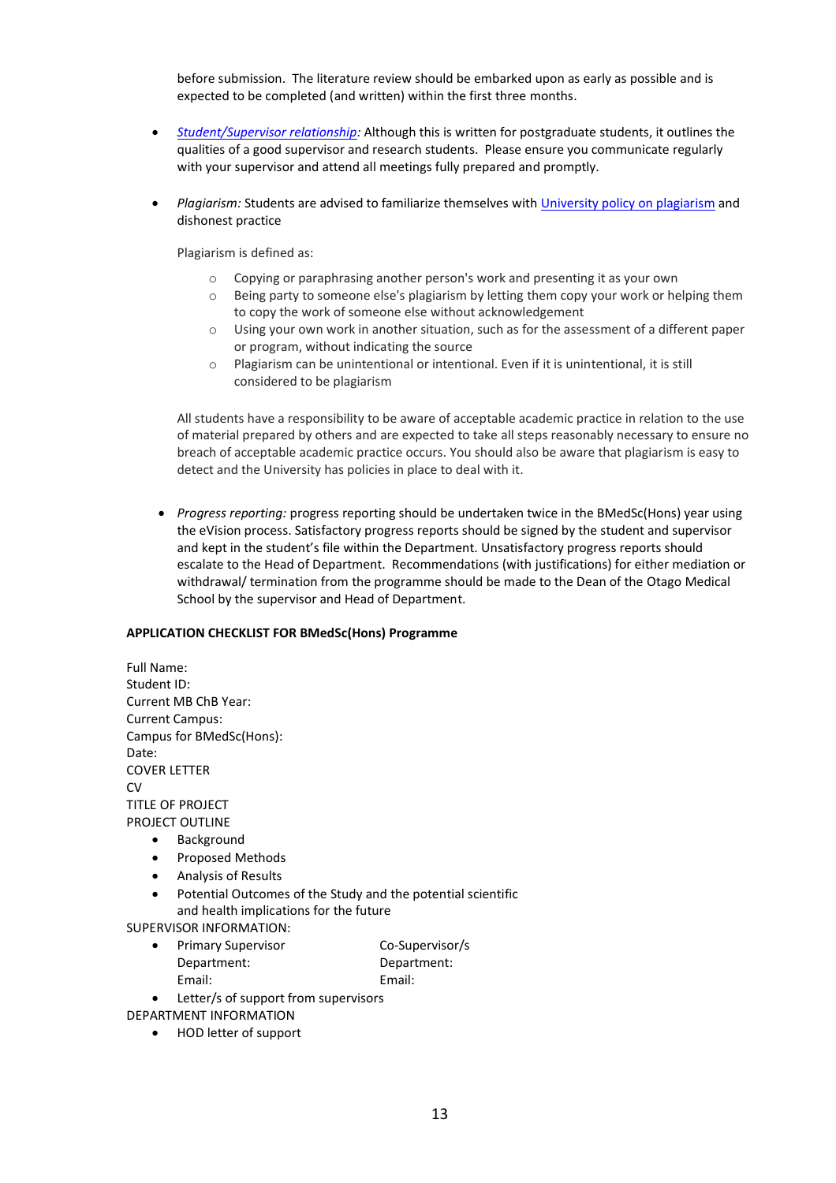before submission. The literature review should be embarked upon as early as possible and is expected to be completed (and written) within the first three months.

- *[Student/Supervisor relationship:](http://www.otago.ac.nz/graduate-research/otago612829.pdf)* Although this is written for postgraduate students, it outlines the qualities of a good supervisor and research students. Please ensure you communicate regularly with your supervisor and attend all meetings fully prepared and promptly.
- *Plagiarism:* Students are advised to familiarize themselves wit[h University policy on plagiarism](http://www.otago.ac.nz/study/academicintegrity/otago006307.html) and dishonest practice

Plagiarism is defined as:

- o Copying or paraphrasing another person's work and presenting it as your own
- o Being party to someone else's plagiarism by letting them copy your work or helping them to copy the work of someone else without acknowledgement
- o Using your own work in another situation, such as for the assessment of a different paper or program, without indicating the source
- o Plagiarism can be unintentional or intentional. Even if it is unintentional, it is still considered to be plagiarism

All students have a responsibility to be aware of acceptable academic practice in relation to the use of material prepared by others and are expected to take all steps reasonably necessary to ensure no breach of acceptable academic practice occurs. You should also be aware that plagiarism is easy to detect and the University has policies in place to deal with it.

• *Progress reporting:* progress reporting should be undertaken twice in the BMedSc(Hons) year using the eVision process. Satisfactory progress reports should be signed by the student and supervisor and kept in the student's file within the Department. Unsatisfactory progress reports should escalate to the Head of Department. Recommendations (with justifications) for either mediation or withdrawal/ termination from the programme should be made to the Dean of the Otago Medical School by the supervisor and Head of Department.

#### **APPLICATION CHECKLIST FOR BMedSc(Hons) Programme**

Full Name: Student ID: Current MB ChB Year: Current Campus: Campus for BMedSc(Hons): Date: COVER LETTER CV<sub>1</sub> TITLE OF PROJECT PROJECT OUTLINE • Background • Proposed Methods • Analysis of Results

Potential Outcomes of the Study and the potential scientific and health implications for the future

SUPERVISOR INFORMATION:

- Primary Supervisor **CO-Supervisor/s** Department: Department: Email: Email:
- Letter/s of support from supervisors

DEPARTMENT INFORMATION

• HOD letter of support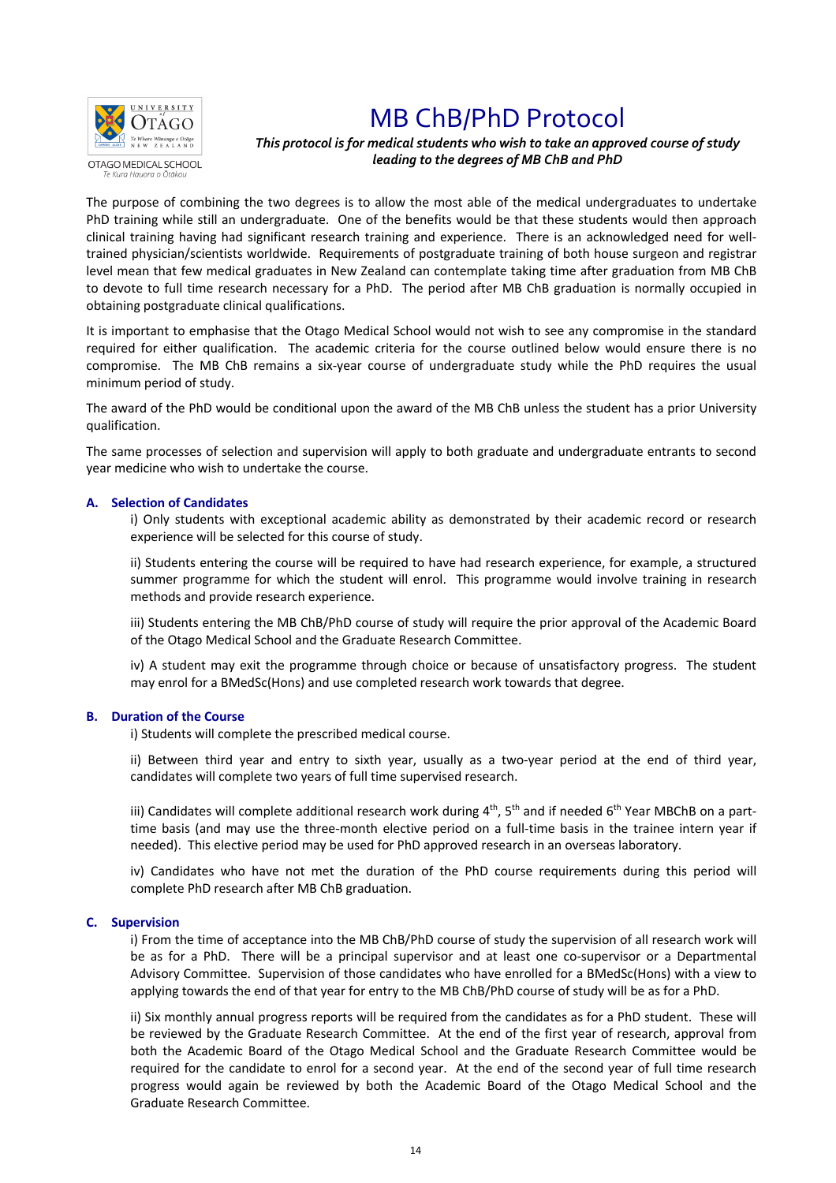

# MB ChB/PhD Protocol

## *This protocol is for medical students who wish to take an approved course of study leading to the degrees of MB ChB and PhD*

The purpose of combining the two degrees is to allow the most able of the medical undergraduates to undertake PhD training while still an undergraduate. One of the benefits would be that these students would then approach clinical training having had significant research training and experience. There is an acknowledged need for welltrained physician/scientists worldwide. Requirements of postgraduate training of both house surgeon and registrar level mean that few medical graduates in New Zealand can contemplate taking time after graduation from MB ChB to devote to full time research necessary for a PhD. The period after MB ChB graduation is normally occupied in obtaining postgraduate clinical qualifications.

It is important to emphasise that the Otago Medical School would not wish to see any compromise in the standard required for either qualification. The academic criteria for the course outlined below would ensure there is no compromise. The MB ChB remains a six-year course of undergraduate study while the PhD requires the usual minimum period of study.

The award of the PhD would be conditional upon the award of the MB ChB unless the student has a prior University qualification.

The same processes of selection and supervision will apply to both graduate and undergraduate entrants to second year medicine who wish to undertake the course.

#### **A. Selection of Candidates**

i) Only students with exceptional academic ability as demonstrated by their academic record or research experience will be selected for this course of study.

ii) Students entering the course will be required to have had research experience, for example, a structured summer programme for which the student will enrol. This programme would involve training in research methods and provide research experience.

iii) Students entering the MB ChB/PhD course of study will require the prior approval of the Academic Board of the Otago Medical School and the Graduate Research Committee.

iv) A student may exit the programme through choice or because of unsatisfactory progress. The student may enrol for a BMedSc(Hons) and use completed research work towards that degree.

#### **B. Duration of the Course**

i) Students will complete the prescribed medical course.

ii) Between third year and entry to sixth year, usually as a two-year period at the end of third year, candidates will complete two years of full time supervised research.

iii) Candidates will complete additional research work during  $4^{th}$ ,  $5^{th}$  and if needed  $6^{th}$  Year MBChB on a parttime basis (and may use the three-month elective period on a full-time basis in the trainee intern year if needed). This elective period may be used for PhD approved research in an overseas laboratory.

iv) Candidates who have not met the duration of the PhD course requirements during this period will complete PhD research after MB ChB graduation.

#### **C. Supervision**

i) From the time of acceptance into the MB ChB/PhD course of study the supervision of all research work will be as for a PhD. There will be a principal supervisor and at least one co-supervisor or a Departmental Advisory Committee. Supervision of those candidates who have enrolled for a BMedSc(Hons) with a view to applying towards the end of that year for entry to the MB ChB/PhD course of study will be as for a PhD.

ii) Six monthly annual progress reports will be required from the candidates as for a PhD student. These will be reviewed by the Graduate Research Committee. At the end of the first year of research, approval from both the Academic Board of the Otago Medical School and the Graduate Research Committee would be required for the candidate to enrol for a second year. At the end of the second year of full time research progress would again be reviewed by both the Academic Board of the Otago Medical School and the Graduate Research Committee.